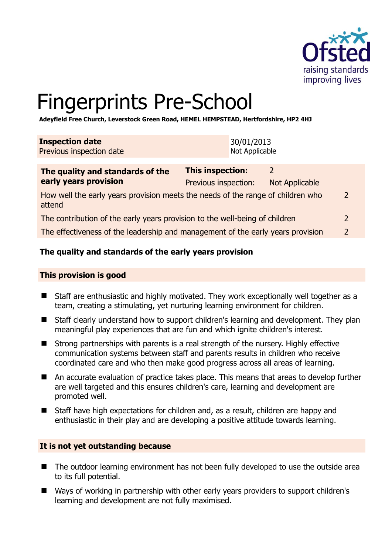

2

# Fingerprints Pre-School

**Adeyfield Free Church, Leverstock Green Road, HEMEL HEMPSTEAD, Hertfordshire, HP2 4HJ** 

| <b>Inspection date</b><br>Previous inspection date                                                    |  | 30/01/2013<br>Not Applicable |                                        |  |
|-------------------------------------------------------------------------------------------------------|--|------------------------------|----------------------------------------|--|
| This inspection:<br>The quality and standards of the<br>early years provision<br>Previous inspection: |  |                              | $\mathcal{L}$<br><b>Not Applicable</b> |  |
| How well the early years provision meets the needs of the range of children who<br>attend             |  |                              |                                        |  |

| The contribution of the early years provision to the well-being of children     |  |
|---------------------------------------------------------------------------------|--|
| The effectiveness of the leadership and management of the early years provision |  |

## **The quality and standards of the early years provision**

#### **This provision is good**

- Staff are enthusiastic and highly motivated. They work exceptionally well together as a team, creating a stimulating, yet nurturing learning environment for children.
- Staff clearly understand how to support children's learning and development. They plan meaningful play experiences that are fun and which ignite children's interest.
- Strong partnerships with parents is a real strength of the nursery. Highly effective communication systems between staff and parents results in children who receive coordinated care and who then make good progress across all areas of learning.
- An accurate evaluation of practice takes place. This means that areas to develop further are well targeted and this ensures children's care, learning and development are promoted well.
- Staff have high expectations for children and, as a result, children are happy and enthusiastic in their play and are developing a positive attitude towards learning.

#### **It is not yet outstanding because**

- The outdoor learning environment has not been fully developed to use the outside area to its full potential.
- Ways of working in partnership with other early years providers to support children's learning and development are not fully maximised.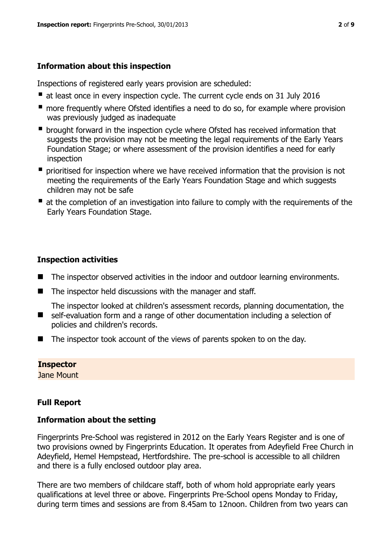# **Information about this inspection**

Inspections of registered early years provision are scheduled:

- at least once in every inspection cycle. The current cycle ends on 31 July 2016
- **n** more frequently where Ofsted identifies a need to do so, for example where provision was previously judged as inadequate
- **•** brought forward in the inspection cycle where Ofsted has received information that suggests the provision may not be meeting the legal requirements of the Early Years Foundation Stage; or where assessment of the provision identifies a need for early inspection
- **P** prioritised for inspection where we have received information that the provision is not meeting the requirements of the Early Years Foundation Stage and which suggests children may not be safe
- at the completion of an investigation into failure to comply with the requirements of the Early Years Foundation Stage.

# **Inspection activities**

- The inspector observed activities in the indoor and outdoor learning environments.
- The inspector held discussions with the manager and staff.

The inspector looked at children's assessment records, planning documentation, the

- self-evaluation form and a range of other documentation including a selection of policies and children's records.
- The inspector took account of the views of parents spoken to on the day.

## **Inspector**

Jane Mount

# **Full Report**

## **Information about the setting**

Fingerprints Pre-School was registered in 2012 on the Early Years Register and is one of two provisions owned by Fingerprints Education. It operates from Adeyfield Free Church in Adeyfield, Hemel Hempstead, Hertfordshire. The pre-school is accessible to all children and there is a fully enclosed outdoor play area.

There are two members of childcare staff, both of whom hold appropriate early years qualifications at level three or above. Fingerprints Pre-School opens Monday to Friday, during term times and sessions are from 8.45am to 12noon. Children from two years can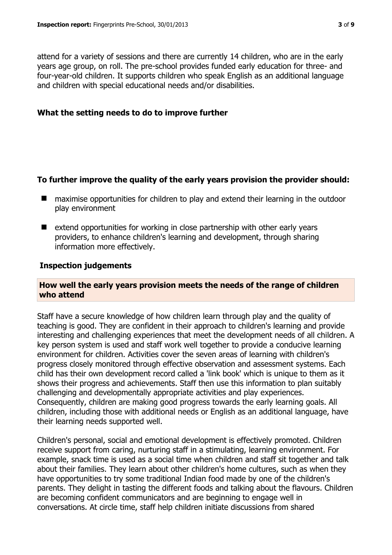attend for a variety of sessions and there are currently 14 children, who are in the early years age group, on roll. The pre-school provides funded early education for three- and four-year-old children. It supports children who speak English as an additional language and children with special educational needs and/or disabilities.

#### **What the setting needs to do to improve further**

#### **To further improve the quality of the early years provision the provider should:**

- maximise opportunities for children to play and extend their learning in the outdoor play environment
- $\blacksquare$  extend opportunities for working in close partnership with other early years providers, to enhance children's learning and development, through sharing information more effectively.

#### **Inspection judgements**

#### **How well the early years provision meets the needs of the range of children who attend**

Staff have a secure knowledge of how children learn through play and the quality of teaching is good. They are confident in their approach to children's learning and provide interesting and challenging experiences that meet the development needs of all children. A key person system is used and staff work well together to provide a conducive learning environment for children. Activities cover the seven areas of learning with children's progress closely monitored through effective observation and assessment systems. Each child has their own development record called a 'link book' which is unique to them as it shows their progress and achievements. Staff then use this information to plan suitably challenging and developmentally appropriate activities and play experiences. Consequently, children are making good progress towards the early learning goals. All children, including those with additional needs or English as an additional language, have their learning needs supported well.

Children's personal, social and emotional development is effectively promoted. Children receive support from caring, nurturing staff in a stimulating, learning environment. For example, snack time is used as a social time when children and staff sit together and talk about their families. They learn about other children's home cultures, such as when they have opportunities to try some traditional Indian food made by one of the children's parents. They delight in tasting the different foods and talking about the flavours. Children are becoming confident communicators and are beginning to engage well in conversations. At circle time, staff help children initiate discussions from shared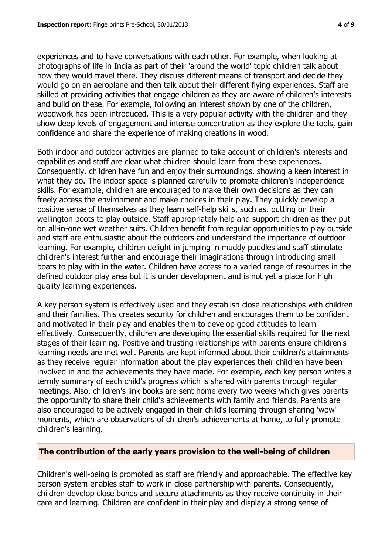experiences and to have conversations with each other. For example, when looking at photographs of life in India as part of their 'around the world' topic children talk about how they would travel there. They discuss different means of transport and decide they would go on an aeroplane and then talk about their different flying experiences. Staff are skilled at providing activities that engage children as they are aware of children's interests and build on these. For example, following an interest shown by one of the children, woodwork has been introduced. This is a very popular activity with the children and they show deep levels of engagement and intense concentration as they explore the tools, gain confidence and share the experience of making creations in wood.

Both indoor and outdoor activities are planned to take account of children's interests and capabilities and staff are clear what children should learn from these experiences. Consequently, children have fun and enjoy their surroundings, showing a keen interest in what they do. The indoor space is planned carefully to promote children's independence skills. For example, children are encouraged to make their own decisions as they can freely access the environment and make choices in their play. They quickly develop a positive sense of themselves as they learn self-help skills, such as, putting on their wellington boots to play outside. Staff appropriately help and support children as they put on all-in-one wet weather suits. Children benefit from regular opportunities to play outside and staff are enthusiastic about the outdoors and understand the importance of outdoor learning. For example, children delight in jumping in muddy puddles and staff stimulate children's interest further and encourage their imaginations through introducing small boats to play with in the water. Children have access to a varied range of resources in the defined outdoor play area but it is under development and is not yet a place for high quality learning experiences.

A key person system is effectively used and they establish close relationships with children and their families. This creates security for children and encourages them to be confident and motivated in their play and enables them to develop good attitudes to learn effectively. Consequently, children are developing the essential skills required for the next stages of their learning. Positive and trusting relationships with parents ensure children's learning needs are met well. Parents are kept informed about their children's attainments as they receive regular information about the play experiences their children have been involved in and the achievements they have made. For example, each key person writes a termly summary of each child's progress which is shared with parents through regular meetings. Also, children's link books are sent home every two weeks which gives parents the opportunity to share their child's achievements with family and friends. Parents are also encouraged to be actively engaged in their child's learning through sharing 'wow' moments, which are observations of children's achievements at home, to fully promote children's learning.

#### **The contribution of the early years provision to the well-being of children**

Children's well-being is promoted as staff are friendly and approachable. The effective key person system enables staff to work in close partnership with parents. Consequently, children develop close bonds and secure attachments as they receive continuity in their care and learning. Children are confident in their play and display a strong sense of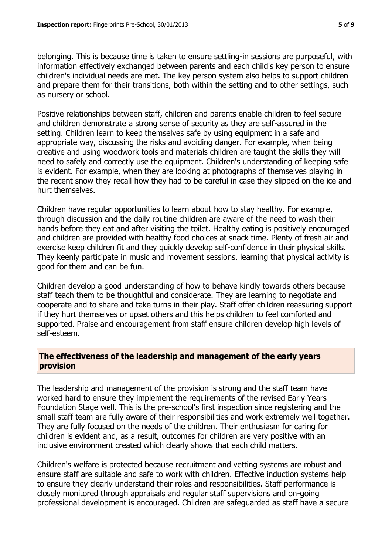belonging. This is because time is taken to ensure settling-in sessions are purposeful, with information effectively exchanged between parents and each child's key person to ensure children's individual needs are met. The key person system also helps to support children and prepare them for their transitions, both within the setting and to other settings, such as nursery or school.

Positive relationships between staff, children and parents enable children to feel secure and children demonstrate a strong sense of security as they are self-assured in the setting. Children learn to keep themselves safe by using equipment in a safe and appropriate way, discussing the risks and avoiding danger. For example, when being creative and using woodwork tools and materials children are taught the skills they will need to safely and correctly use the equipment. Children's understanding of keeping safe is evident. For example, when they are looking at photographs of themselves playing in the recent snow they recall how they had to be careful in case they slipped on the ice and hurt themselves.

Children have regular opportunities to learn about how to stay healthy. For example, through discussion and the daily routine children are aware of the need to wash their hands before they eat and after visiting the toilet. Healthy eating is positively encouraged and children are provided with healthy food choices at snack time. Plenty of fresh air and exercise keep children fit and they quickly develop self-confidence in their physical skills. They keenly participate in music and movement sessions, learning that physical activity is good for them and can be fun.

Children develop a good understanding of how to behave kindly towards others because staff teach them to be thoughtful and considerate. They are learning to negotiate and cooperate and to share and take turns in their play. Staff offer children reassuring support if they hurt themselves or upset others and this helps children to feel comforted and supported. Praise and encouragement from staff ensure children develop high levels of self-esteem.

## **The effectiveness of the leadership and management of the early years provision**

The leadership and management of the provision is strong and the staff team have worked hard to ensure they implement the requirements of the revised Early Years Foundation Stage well. This is the pre-school's first inspection since registering and the small staff team are fully aware of their responsibilities and work extremely well together. They are fully focused on the needs of the children. Their enthusiasm for caring for children is evident and, as a result, outcomes for children are very positive with an inclusive environment created which clearly shows that each child matters.

Children's welfare is protected because recruitment and vetting systems are robust and ensure staff are suitable and safe to work with children. Effective induction systems help to ensure they clearly understand their roles and responsibilities. Staff performance is closely monitored through appraisals and regular staff supervisions and on-going professional development is encouraged. Children are safeguarded as staff have a secure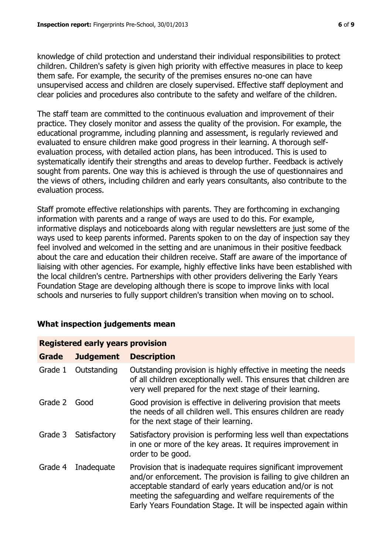knowledge of child protection and understand their individual responsibilities to protect children. Children's safety is given high priority with effective measures in place to keep them safe. For example, the security of the premises ensures no-one can have unsupervised access and children are closely supervised. Effective staff deployment and clear policies and procedures also contribute to the safety and welfare of the children.

The staff team are committed to the continuous evaluation and improvement of their practice. They closely monitor and assess the quality of the provision. For example, the educational programme, including planning and assessment, is regularly reviewed and evaluated to ensure children make good progress in their learning. A thorough selfevaluation process, with detailed action plans, has been introduced. This is used to systematically identify their strengths and areas to develop further. Feedback is actively sought from parents. One way this is achieved is through the use of questionnaires and the views of others, including children and early years consultants, also contribute to the evaluation process.

Staff promote effective relationships with parents. They are forthcoming in exchanging information with parents and a range of ways are used to do this. For example, informative displays and noticeboards along with regular newsletters are just some of the ways used to keep parents informed. Parents spoken to on the day of inspection say they feel involved and welcomed in the setting and are unanimous in their positive feedback about the care and education their children receive. Staff are aware of the importance of liaising with other agencies. For example, highly effective links have been established with the local children's centre. Partnerships with other providers delivering the Early Years Foundation Stage are developing although there is scope to improve links with local schools and nurseries to fully support children's transition when moving on to school.

| <b>Registered early years provision</b> |                  |                                                                                                                                                                                                                                                                                                                                |  |  |  |
|-----------------------------------------|------------------|--------------------------------------------------------------------------------------------------------------------------------------------------------------------------------------------------------------------------------------------------------------------------------------------------------------------------------|--|--|--|
| Grade                                   | <b>Judgement</b> | <b>Description</b>                                                                                                                                                                                                                                                                                                             |  |  |  |
| Grade 1                                 | Outstanding      | Outstanding provision is highly effective in meeting the needs<br>of all children exceptionally well. This ensures that children are<br>very well prepared for the next stage of their learning.                                                                                                                               |  |  |  |
| Grade 2                                 | Good             | Good provision is effective in delivering provision that meets<br>the needs of all children well. This ensures children are ready<br>for the next stage of their learning.                                                                                                                                                     |  |  |  |
| Grade 3                                 | Satisfactory     | Satisfactory provision is performing less well than expectations<br>in one or more of the key areas. It requires improvement in<br>order to be good.                                                                                                                                                                           |  |  |  |
| Grade 4                                 | Inadequate       | Provision that is inadequate requires significant improvement<br>and/or enforcement. The provision is failing to give children an<br>acceptable standard of early years education and/or is not<br>meeting the safeguarding and welfare requirements of the<br>Early Years Foundation Stage. It will be inspected again within |  |  |  |

## **What inspection judgements mean**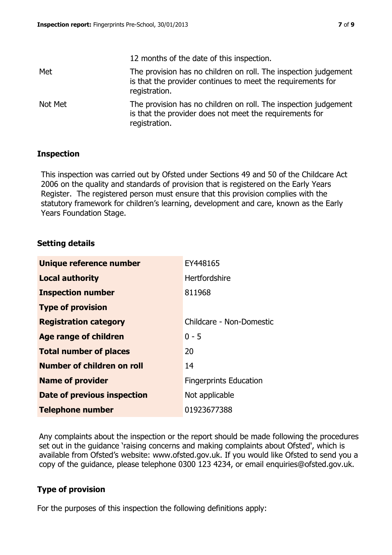|         | 12 months of the date of this inspection.                                                                                                       |
|---------|-------------------------------------------------------------------------------------------------------------------------------------------------|
| Met     | The provision has no children on roll. The inspection judgement<br>is that the provider continues to meet the requirements for<br>registration. |
| Not Met | The provision has no children on roll. The inspection judgement<br>is that the provider does not meet the requirements for<br>registration.     |

#### **Inspection**

This inspection was carried out by Ofsted under Sections 49 and 50 of the Childcare Act 2006 on the quality and standards of provision that is registered on the Early Years Register. The registered person must ensure that this provision complies with the statutory framework for children's learning, development and care, known as the Early Years Foundation Stage.

## **Setting details**

| Unique reference number       | EY448165                      |
|-------------------------------|-------------------------------|
| <b>Local authority</b>        | <b>Hertfordshire</b>          |
| <b>Inspection number</b>      | 811968                        |
| <b>Type of provision</b>      |                               |
| <b>Registration category</b>  | Childcare - Non-Domestic      |
| Age range of children         | $0 - 5$                       |
| <b>Total number of places</b> | 20                            |
| Number of children on roll    | 14                            |
| <b>Name of provider</b>       | <b>Fingerprints Education</b> |
| Date of previous inspection   | Not applicable                |
| <b>Telephone number</b>       | 01923677388                   |

Any complaints about the inspection or the report should be made following the procedures set out in the guidance 'raising concerns and making complaints about Ofsted', which is available from Ofsted's website: www.ofsted.gov.uk. If you would like Ofsted to send you a copy of the guidance, please telephone 0300 123 4234, or email enquiries@ofsted.gov.uk.

#### **Type of provision**

For the purposes of this inspection the following definitions apply: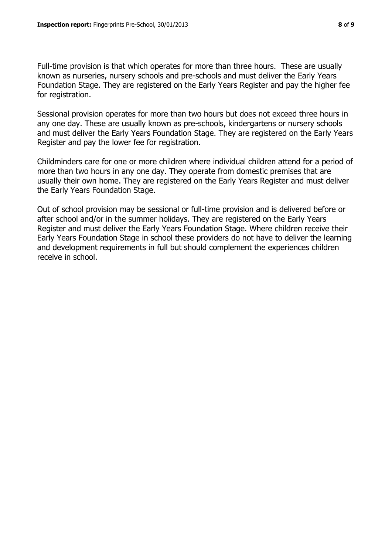Full-time provision is that which operates for more than three hours. These are usually known as nurseries, nursery schools and pre-schools and must deliver the Early Years Foundation Stage. They are registered on the Early Years Register and pay the higher fee for registration.

Sessional provision operates for more than two hours but does not exceed three hours in any one day. These are usually known as pre-schools, kindergartens or nursery schools and must deliver the Early Years Foundation Stage. They are registered on the Early Years Register and pay the lower fee for registration.

Childminders care for one or more children where individual children attend for a period of more than two hours in any one day. They operate from domestic premises that are usually their own home. They are registered on the Early Years Register and must deliver the Early Years Foundation Stage.

Out of school provision may be sessional or full-time provision and is delivered before or after school and/or in the summer holidays. They are registered on the Early Years Register and must deliver the Early Years Foundation Stage. Where children receive their Early Years Foundation Stage in school these providers do not have to deliver the learning and development requirements in full but should complement the experiences children receive in school.